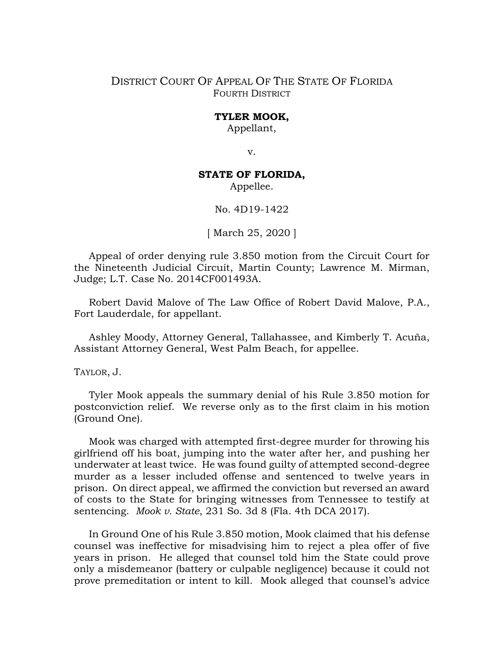## DISTRICT COURT OF APPEAL OF THE STATE OF FLORIDA FOURTH DISTRICT

## **TYLER MOOK,**

Appellant,

v.

## **STATE OF FLORIDA,**

Appellee.

No. 4D19-1422

[ March 25, 2020 ]

Appeal of order denying rule 3.850 motion from the Circuit Court for the Nineteenth Judicial Circuit, Martin County; Lawrence M. Mirman, Judge; L.T. Case No. 2014CF001493A.

Robert David Malove of The Law Office of Robert David Malove, P.A., Fort Lauderdale, for appellant.

Ashley Moody, Attorney General, Tallahassee, and Kimberly T. Acuña, Assistant Attorney General, West Palm Beach, for appellee.

TAYLOR, J.

Tyler Mook appeals the summary denial of his Rule 3.850 motion for postconviction relief. We reverse only as to the first claim in his motion (Ground One).

Mook was charged with attempted first-degree murder for throwing his girlfriend off his boat, jumping into the water after her, and pushing her underwater at least twice. He was found guilty of attempted second-degree murder as a lesser included offense and sentenced to twelve years in prison. On direct appeal, we affirmed the conviction but reversed an award of costs to the State for bringing witnesses from Tennessee to testify at sentencing. *Mook v. State*, 231 So. 3d 8 (Fla. 4th DCA 2017).

In Ground One of his Rule 3.850 motion, Mook claimed that his defense counsel was ineffective for misadvising him to reject a plea offer of five years in prison. He alleged that counsel told him the State could prove only a misdemeanor (battery or culpable negligence) because it could not prove premeditation or intent to kill. Mook alleged that counsel's advice